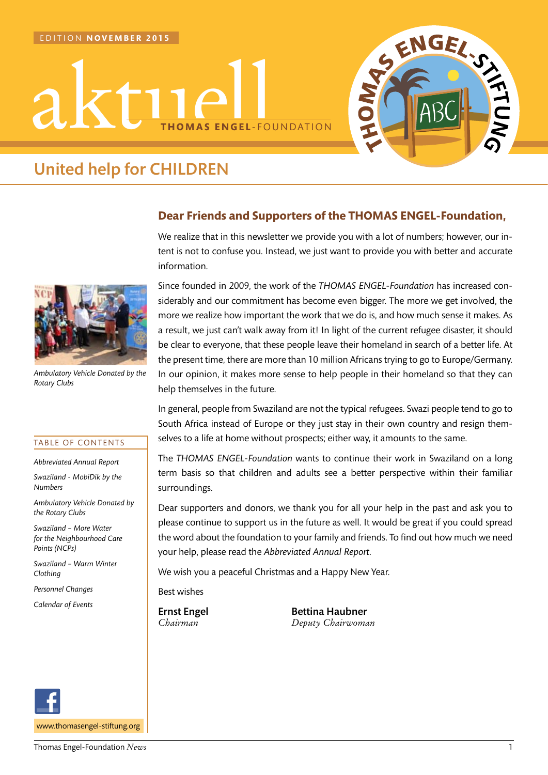



# United help for CHILDREN



*Ambulatory Vehicle Donated by the Rotary Clubs*

#### TABLE OF CONTENTS

*Abbreviated Annual Report*

*Swaziland - MobiDik by the Numbers*

*Ambulatory Vehicle Donated by the Rotary Clubs*

*Swaziland – More Water for the Neighbourhood Care Points (NCPs)*

*Swaziland – Warm Winter Clothing*

*Personnel Changes*

*Calendar of Events*



# **Dear Friends and Supporters of the THOMAS ENGEL-Foundation,**

We realize that in this newsletter we provide you with a lot of numbers; however, our intent is not to confuse you. Instead, we just want to provide you with better and accurate information.

Since founded in 2009, the work of the *THOMAS ENGEL-Foundation* has increased considerably and our commitment has become even bigger. The more we get involved, the more we realize how important the work that we do is, and how much sense it makes. As a result, we just can't walk away from it! In light of the current refugee disaster, it should be clear to everyone, that these people leave their homeland in search of a better life. At the present time, there are more than 10 million Africans trying to go to Europe/Germany. In our opinion, it makes more sense to help people in their homeland so that they can help themselves in the future.

In general, people from Swaziland are not the typical refugees. Swazi people tend to go to South Africa instead of Europe or they just stay in their own country and resign themselves to a life at home without prospects; either way, it amounts to the same.

The *THOMAS ENGEL-Foundation* wants to continue their work in Swaziland on a long term basis so that children and adults see a better perspective within their familiar surroundings.

Dear supporters and donors, we thank you for all your help in the past and ask you to please continue to support us in the future as well. It would be great if you could spread the word about the foundation to your family and friends. To find out how much we need your help, please read the *Abbreviated Annual Report*.

We wish you a peaceful Christmas and a Happy New Year.

Best wishes

Ernst Engel Bettina Haubner *Chairman Deputy Chairwoman*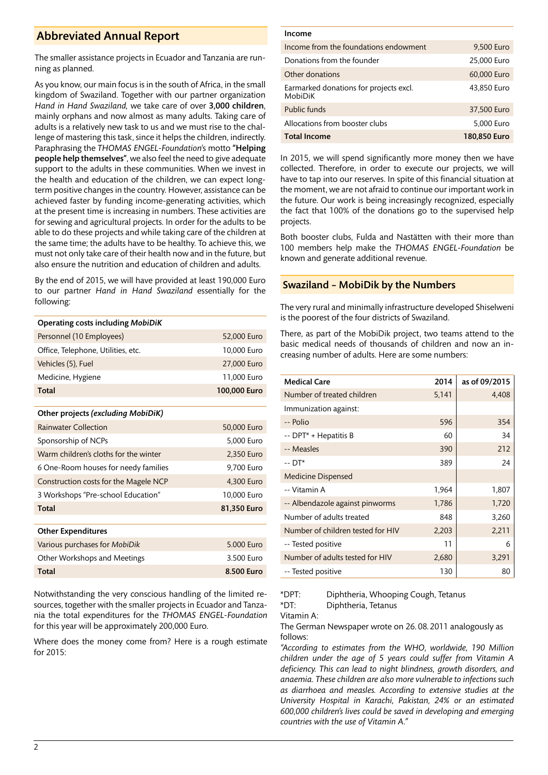# Abbreviated Annual Report

The smaller assistance projects in Ecuador and Tanzania are running as planned.

As you know, our main focus is in the south of Africa, in the small kingdom of Swaziland. Together with our partner organization *Hand in Hand Swaziland,* we take care of over 3,000 children, mainly orphans and now almost as many adults. Taking care of adults is a relatively new task to us and we must rise to the challenge of mastering this task, since it helps the children, indirectly. Paraphrasing the *THOMAS ENGEL-Foundation*'s motto "Helping people help themselves", we also feel the need to give adequate support to the adults in these communities. When we invest in the health and education of the children, we can expect longterm positive changes in the country. However, assistance can be achieved faster by funding income-generating activities, which at the present time is increasing in numbers. These activities are for sewing and agricultural projects. In order for the adults to be able to do these projects and while taking care of the children at the same time; the adults have to be healthy. To achieve this, we must not only take care of their health now and in the future, but also ensure the nutrition and education of children and adults.

By the end of 2015, we will have provided at least 190,000 Euro to our partner *Hand in Hand Swaziland* essentially for the following:

| <b>Operating costs including MobiDiK</b> |              |  |  |
|------------------------------------------|--------------|--|--|
| Personnel (10 Employees)                 | 52,000 Euro  |  |  |
| Office, Telephone, Utilities, etc.       | 10,000 Euro  |  |  |
| Vehicles (5), Fuel                       | 27,000 Euro  |  |  |
| Medicine, Hygiene                        | 11,000 Euro  |  |  |
| <b>Total</b>                             | 100,000 Euro |  |  |
|                                          |              |  |  |
| Other projects (excluding MobiDiK)       |              |  |  |
| <b>Rainwater Collection</b>              | 50,000 Euro  |  |  |
| Sponsorship of NCPs                      | 5,000 Euro   |  |  |
| Warm children's cloths for the winter    | 2,350 Euro   |  |  |
| 6 One-Room houses for needy families     | 9,700 Euro   |  |  |
| Construction costs for the Magele NCP    | 4,300 Euro   |  |  |
| 3 Workshops "Pre-school Education"       | 10,000 Euro  |  |  |
| <b>Total</b>                             | 81,350 Euro  |  |  |
|                                          |              |  |  |
| <b>Other Expenditures</b>                |              |  |  |
| Various purchases for MobiDik            | 5.000 Euro   |  |  |
| Other Workshops and Meetings             | 3.500 Euro   |  |  |
| <b>Total</b>                             | 8.500 Euro   |  |  |

Notwithstanding the very conscious handling of the limited resources, together with the smaller projects in Ecuador and Tanzania the total expenditures for the *THOMAS ENGEL-Foundation* for this year will be approximately 200,000 Euro.

Where does the money come from? Here is a rough estimate for  $2015$ 

| Income                                            |              |  |  |
|---------------------------------------------------|--------------|--|--|
| Income from the foundations endowment             | 9,500 Euro   |  |  |
| Donations from the founder                        | 25,000 Euro  |  |  |
| Other donations                                   | 60,000 Euro  |  |  |
| Earmarked donations for projects excl.<br>MobiDiK | 43,850 Euro  |  |  |
| Public funds                                      | 37,500 Euro  |  |  |
| Allocations from booster clubs                    | 5,000 Euro   |  |  |
| <b>Total Income</b>                               | 180.850 Euro |  |  |

In 2015, we will spend significantly more money then we have collected. Therefore, in order to execute our projects, we will have to tap into our reserves. In spite of this financial situation at the moment, we are not afraid to continue our important work in the future. Our work is being increasingly recognized, especially the fact that 100% of the donations go to the supervised help projects.

Both booster clubs, Fulda and Nastätten with their more than 100 members help make the *THOMAS ENGEL-Foundation* be known and generate additional revenue.

## Swaziland – MobiDik by the Numbers

The very rural and minimally infrastructure developed Shiselweni is the poorest of the four districts of Swaziland.

There, as part of the MobiDik project, two teams attend to the basic medical needs of thousands of children and now an increasing number of adults. Here are some numbers:

| <b>Medical Care</b>               | 2014  | as of 09/2015 |  |  |
|-----------------------------------|-------|---------------|--|--|
| Number of treated children        | 5,141 | 4,408         |  |  |
| Immunization against:             |       |               |  |  |
| -- Polio                          | 596   | 354           |  |  |
| -- DPT* + Hepatitis B             | 60    | 34            |  |  |
| -- Measles                        | 390   | 212           |  |  |
| -- DT*                            | 389   | 24            |  |  |
| <b>Medicine Dispensed</b>         |       |               |  |  |
| -- Vitamin A                      | 1,964 | 1,807         |  |  |
| -- Albendazole against pinworms   | 1,786 | 1,720         |  |  |
| Number of adults treated          | 848   | 3,260         |  |  |
| Number of children tested for HIV | 2,203 | 2,211         |  |  |
| -- Tested positive                | 11    | 6             |  |  |
| Number of adults tested for HIV   | 2,680 | 3,291         |  |  |
| -- Tested positive                | 130   | 80            |  |  |

\*DPT: Diphtheria, Whooping Cough, Tetanus

\*DT: Diphtheria, Tetanus

Vitamin A:

The German Newspaper wrote on 26. 08. 2011 analogously as follows:

*"According to estimates from the WHO, worldwide, 190 Million children under the age of 5 years could suffer from Vitamin A deficiency. This can lead to night blindness, growth disorders, and anaemia. These children are also more vulnerable to infections such as diarrhoea and measles. According to extensive studies at the University Hospital in Karachi, Pakistan, 24% or an estimated 600,000 children's lives could be saved in developing and emerging countries with the use of Vitamin A."*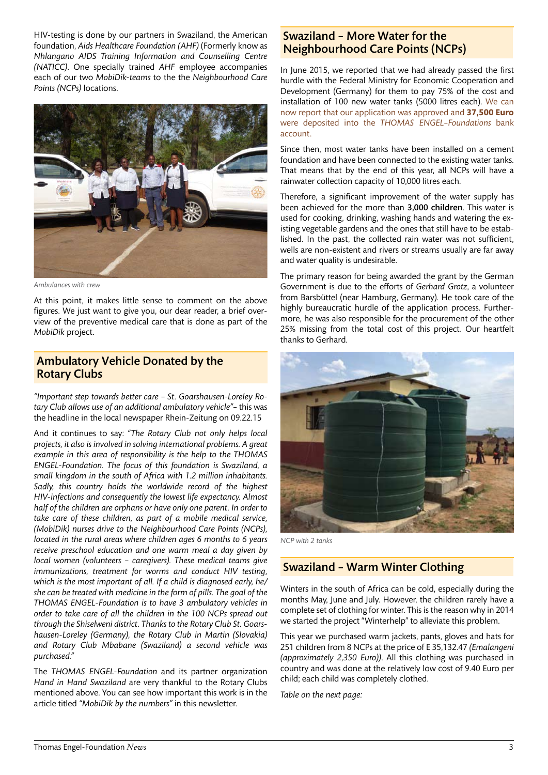HIV-testing is done by our partners in Swaziland, the American foundation, *Aids Healthcare Foundation (AHF)* (Formerly know as *Nhlangano AIDS Training Information and Counselling Centre (NATICC)*. One specially trained *AHF* employee accompanies each of our two *MobiDik-teams* to the the *Neighbourhood Care Points (NCPs)* locations.



*Ambulances with crew*

At this point, it makes little sense to comment on the above figures. We just want to give you, our dear reader, a brief overview of the preventive medical care that is done as part of the *MobiDik* project.

# Ambulatory Vehicle Donated by the Rotary Clubs

*"Important step towards better care – St. Goarshausen-Loreley Rotary Club allows use of an additional ambulatory vehicle"*– this was the headline in the local newspaper Rhein-Zeitung on 09.22.15

And it continues to say: *"The Rotary Club not only helps local projects, it also is involved in solving international problems. A great example in this area of responsibility is the help to the THOMAS ENGEL-Foundation. The focus of this foundation is Swaziland, a small kingdom in the south of Africa with 1.2 million inhabitants. Sadly, this country holds the worldwide record of the highest HIV-infections and consequently the lowest life expectancy. Almost half of the children are orphans or have only one parent. In order to take care of these children, as part of a mobile medical service, (MobiDik) nurses drive to the Neighbourhood Care Points (NCPs), located in the rural areas where children ages 6 months to 6 years receive preschool education and one warm meal a day given by local women (volunteers – caregivers). These medical teams give immunizations, treatment for worms and conduct HIV testing, which is the most important of all. If a child is diagnosed early, he/ she can be treated with medicine in the form of pills. The goal of the THOMAS ENGEL-Foundation is to have 3 ambulatory vehicles in order to take care of all the children in the 100 NCPs spread out through the Shiselweni district. Thanks to the Rotary Club St. Goarshausen-Loreley (Germany), the Rotary Club in Martin (Slovakia) and Rotary Club Mbabane (Swaziland) a second vehicle was purchased."*

The *THOMAS ENGEL-Foundation* and its partner organization *Hand in Hand Swaziland* are very thankful to the Rotary Clubs mentioned above. You can see how important this work is in the article titled *"MobiDik by the numbers"* in this newsletter.

# Swaziland – More Water for the Neighbourhood Care Points (NCPs)

In June 2015, we reported that we had already passed the first hurdle with the Federal Ministry for Economic Cooperation and Development (Germany) for them to pay 75% of the cost and installation of 100 new water tanks (5000 litres each). We can now report that our application was approved and **37,500 Euro** were deposited into the *THOMAS ENGEL–Foundations* bank account.

Since then, most water tanks have been installed on a cement foundation and have been connected to the existing water tanks. That means that by the end of this year, all NCPs will have a rainwater collection capacity of 10,000 litres each.

Therefore, a significant improvement of the water supply has been achieved for the more than 3,000 children. This water is used for cooking, drinking, washing hands and watering the existing vegetable gardens and the ones that still have to be established. In the past, the collected rain water was not sufficient, wells are non-existent and rivers or streams usually are far away and water quality is undesirable.

The primary reason for being awarded the grant by the German Government is due to the efforts of *Gerhard Grotz*, a volunteer from Barsbüttel (near Hamburg, Germany). He took care of the highly bureaucratic hurdle of the application process. Furthermore, he was also responsible for the procurement of the other 25% missing from the total cost of this project. Our heartfelt thanks to Gerhard.



*NCP with 2 tanks*

# Swaziland – Warm Winter Clothing

Winters in the south of Africa can be cold, especially during the months May, June and July. However, the children rarely have a complete set of clothing for winter. This is the reason why in 2014 we started the project "Winterhelp" to alleviate this problem.

This year we purchased warm jackets, pants, gloves and hats for 251 children from 8 NCPs at the price of E 35,132.47 *(Emalangeni (approximately 2,350 Euro))*. All this clothing was purchased in country and was done at the relatively low cost of 9.40 Euro per child; each child was completely clothed.

*Table on the next page:*